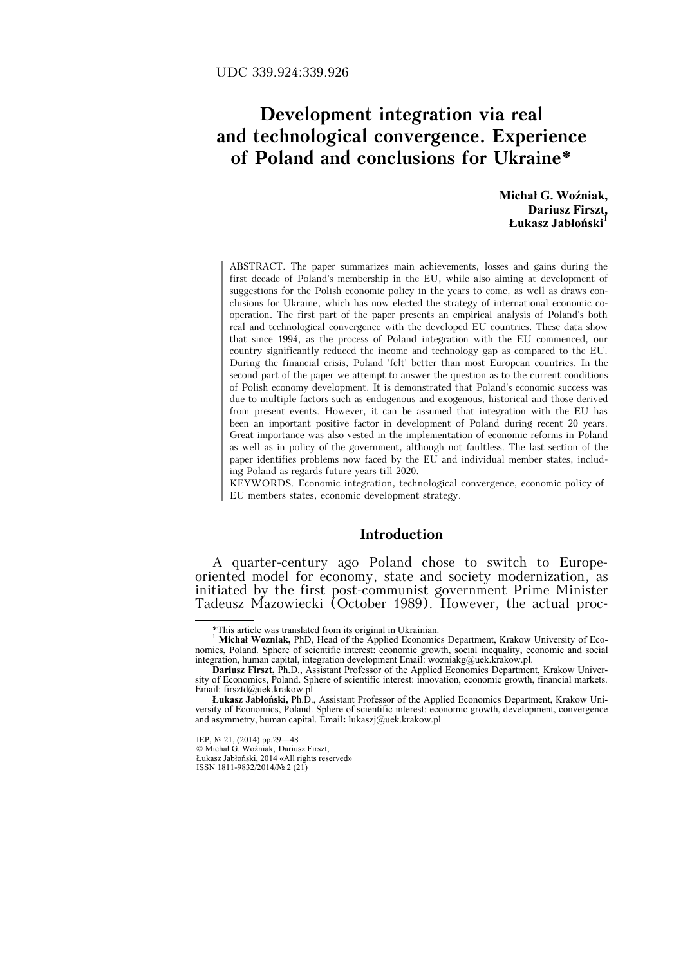# **Development integration via real and technological convergence. Experience of Poland and conclusions for Ukraine\***

**Michał G. Woźniak, Dariusz Firszt,**  $L$ **ukasz Jabłoński** 

ABSTRACT. The paper summarizes main achievements, losses and gains during the first decade of Poland's membership in the EU, while also aiming at development of suggestions for the Polish economic policy in the years to come, as well as draws conclusions for Ukraine, which has now elected the strategy of international economic cooperation. The first part of the paper presents an empirical analysis of Poland's both real and technological convergence with the developed EU countries. These data show that since 1994, as the process of Poland integration with the EU commenced, our country significantly reduced the income and technology gap as compared to the EU. During the financial crisis, Poland 'felt' better than most European countries. In the second part of the paper we attempt to answer the question as to the current conditions of Polish economy development. It is demonstrated that Poland's economic success was due to multiple factors such as endogenous and exogenous, historical and those derived from present events. However, it can be assumed that integration with the EU has been an important positive factor in development of Poland during recent 20 years. Great importance was also vested in the implementation of economic reforms in Poland as well as in policy of the government, although not faultless. The last section of the paper identifies problems now faced by the EU and individual member states, including Poland as regards future years till 2020.

KEYWORDS. Economic integration, technological convergence, economic policy of EU members states, economic development strategy.

# **Introduction**

A quarter-century ago Poland chose to switch to Europeoriented model for economy, state and society modernization, as initiated by the first post-communist government Prime Minister Tadeusz Mazowiecki (October 1989). However, the actual proc-

 <sup>\*</sup>This article was translated from its original in Ukrainian.

<sup>1</sup> **Michał Wozniak,** PhD, Head of the Applied Economics Department, Krakow University of Economics, Poland. Sphere of scientific interest: economic growth, social inequality, economic and social integration, human capital, integration development Email: wozniakg@uek.krakow.pl.

**Dariusz Firszt,** Ph.D., Assistant Professor of the Applied Economics Department, Krakow University of Economics, Poland. Sphere of scientific interest: innovation, economic growth, financial markets. Email: firsztd@uek.krakow.pl

**Łukasz Jabłoński,** Ph.D., Assistant Professor of the Applied Economics Department, Krakow University of Economics, Poland. Sphere of scientific interest: economic growth, development, convergence and asymmetry, human capital. Email**:** lukaszj@uek.krakow.pl

IEP, № 21, (2014) pp.29—48

<sup>©</sup> Michał G. Woźniak, Dariusz Firszt, Łukasz Jabłoński, 2014 «All rights reserved» ISSN 1811-9832/2014/№ 2 (21)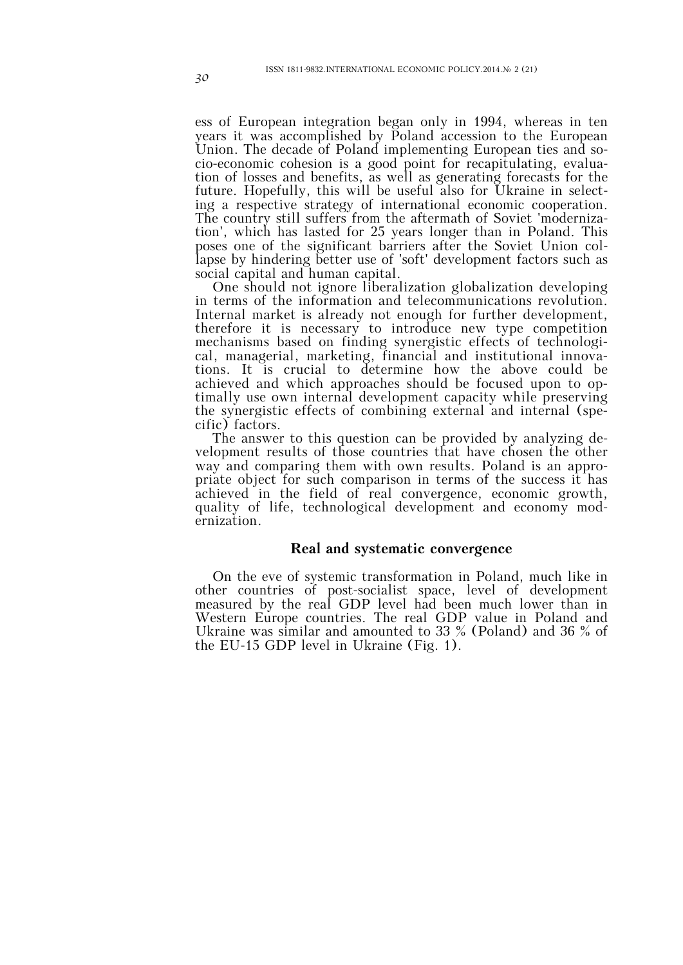ess of European integration began only in 1994, whereas in ten years it was accomplished by Poland accession to the European Union. The decade of Poland implementing European ties and socio-economic cohesion is a good point for recapitulating, evaluation of losses and benefits, as well as generating forecasts for the future. Hopefully, this will be useful also for Ukraine in selecting a respective strategy of international economic cooperation. The country still suffers from the aftermath of Soviet 'modernization', which has lasted for 25 years longer than in Poland. This poses one of the significant barriers after the Soviet Union collapse by hindering better use of 'soft' development factors such as social capital and human capital.

One should not ignore liberalization globalization developing in terms of the information and telecommunications revolution. Internal market is already not enough for further development, therefore it is necessary to introduce new type competition mechanisms based on finding synergistic effects of technological, managerial, marketing, financial and institutional innovations. It is crucial to determine how the above could be achieved and which approaches should be focused upon to optimally use own internal development capacity while preserving the synergistic effects of combining external and internal (specific) factors.

The answer to this question can be provided by analyzing development results of those countries that have chosen the other way and comparing them with own results. Poland is an appropriate object for such comparison in terms of the success it has achieved in the field of real convergence, economic growth, quality of life, technological development and economy modernization.

# **Real and systematic convergence**

On the eve of systemic transformation in Poland, much like in other countries of post-socialist space, level of development measured by the real GDP level had been much lower than in Western Europe countries. The real GDP value in Poland and Ukraine was similar and amounted to 33 % (Poland) and 36 % of the EU-15 GDP level in Ukraine (Fig. 1).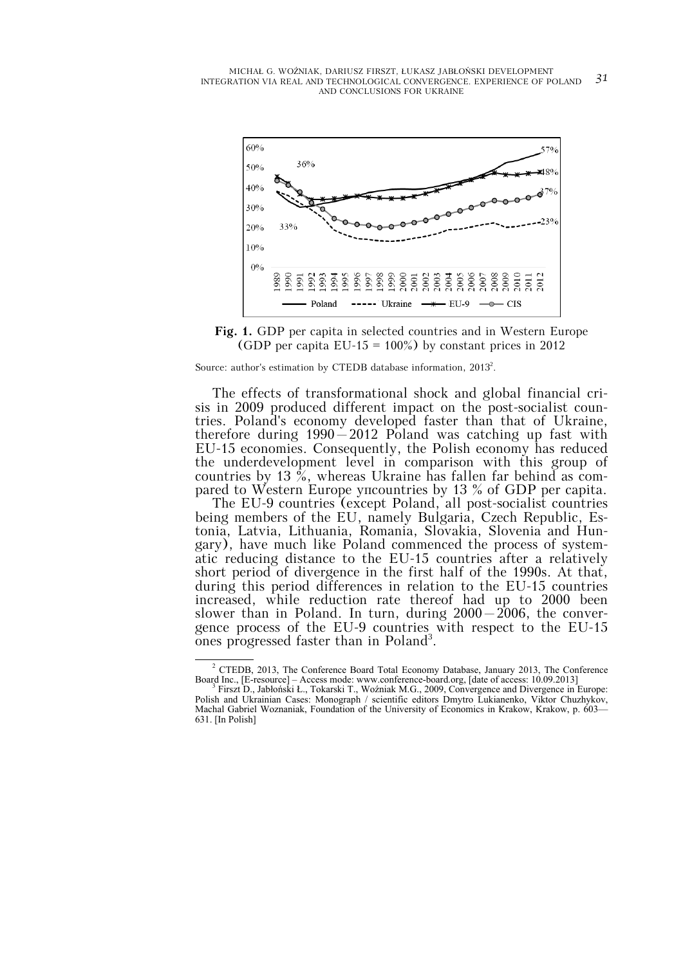

**Fig. 1.** GDP per capita in selected countries and in Western Europe (GDP per capita EU-15 =  $100\%$ ) by constant prices in 2012

Source: author's estimation by CTEDB database information, 2013<sup>2</sup>.

The effects of transformational shock and global financial crisis in 2009 produced different impact on the post-socialist countries. Poland's economy developed faster than that of Ukraine, therefore during  $1990 - 2012$  Poland was catching up fast with EU-15 economies. Consequently, the Polish economy has reduced the underdevelopment level in comparison with this group of countries by 13 %, whereas Ukraine has fallen far behind as compared to Western Europe упcountries by 13 % of GDP per capita.

The EU-9 countries (except Poland, all post-socialist countries being members of the EU, namely Bulgaria, Czech Republic, Estonia, Latvia, Lithuania, Romania, Slovakia, Slovenia and Hungary), have much like Poland commenced the process of systematic reducing distance to the EU-15 countries after a relatively short period of divergence in the first half of the 1990s. At that, during this period differences in relation to the EU-15 countries increased, while reduction rate thereof had up to 2000 been slower than in Poland. In turn, during 2000–2006, the convergence process of the EU-9 countries with respect to the EU-15 ones progressed faster than in Poland<sup>3</sup>.

 $\overline{a}$ <sup>2</sup> CTEDB, 2013, The Conference Board Total Economy Database, January 2013, The Conference Board Inc., [E-resource] - Access mode: www.conference-board.org, [date of access: 10.09.2013]

Firszt D., Jabłoński Ł., Tokarski T., Woźniak M.G., 2009, Convergence and Divergence in Europe: Polish and Ukrainian Cases: Monograph / scientific editors Dmytro Lukianenko, Viktor Chuzhykov, Machal Gabriel Woznaniak, Foundation of the University of Economics in Krakow, Krakow, p. 603— 631. [In Polish]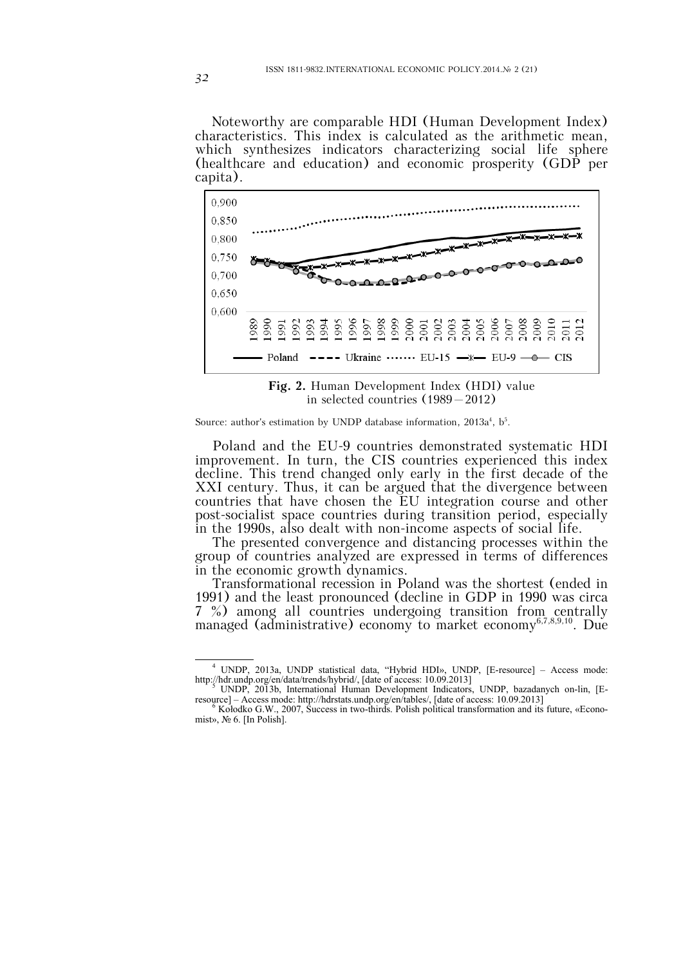Noteworthy are comparable HDI (Human Development Index) characteristics. This index is calculated as the arithmetic mean, which synthesizes indicators characterizing social life sphere (healthcare and education) and economic prosperity (GDP per capita).



**Fig. 2.** Human Development Index (HDI) value in selected countries (1989–2012)

#### Source: author's estimation by UNDP database information,  $2013a^4$ ,  $b^5$ .

Poland and the EU-9 countries demonstrated systematic HDI improvement. In turn, the CIS countries experienced this index decline. This trend changed only early in the first decade of the XXI century. Thus, it can be argued that the divergence between countries that have chosen the EU integration course and other post-socialist space countries during transition period, especially in the 1990s, also dealt with non-income aspects of social life.

The presented convergence and distancing processes within the group of countries analyzed are expressed in terms of differences in the economic growth dynamics.

Transformational recession in Poland was the shortest (ended in 1991) and the least pronounced (decline in GDP in 1990 was circa 7 %) among all countries undergoing transition from centrally managed (administrative) economy to market economy<sup>6,7,8,9,10</sup>. Due

 $\overline{4}$  UNDP, 2013a, UNDP statistical data, "Hybrid HDI», UNDP, [E-resource] – Access mode: http://hdr.undp.org/en/data/trends/hybrid/, [date of access: 10.09.2013]<br>
<sup>5</sup> UNDP, 2013b, International Human Development Indicators, UNDP, bazadanych on-lin, [E-

resource] – Access mode: http://hdrstats.undp.org/en/tables/, [date of access: 10.09.2013]<br><sup>6</sup> Kołodko G.W., 2007, Success in two-thirds. Polish political transformation and its future, «Econo-

mist», № 6. [In Polish].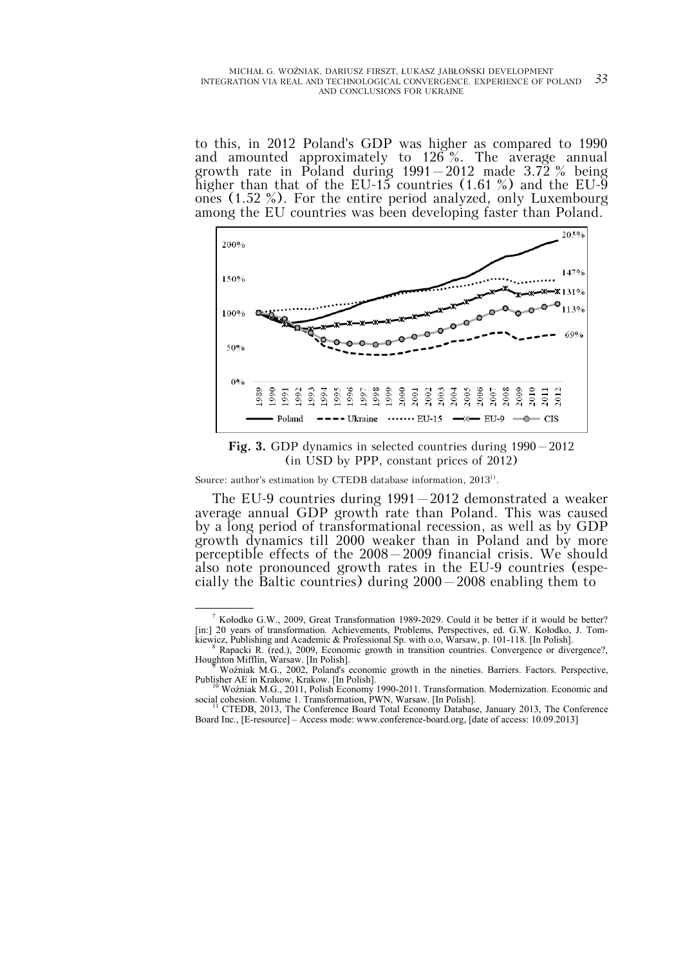to this, in 2012 Poland's GDP was higher as compared to 1990 and amounted approximately to 126 %. The average annual growth rate in Poland during  $1991-2012$  made  $3.72\%$  being higher than that of the EU-15 countries  $(1.61\%)$  and the EU-9 ones (1.52 %). For the entire period analyzed, only Luxembourg among the EU countries was been developing faster than Poland.



**Fig. 3.** GDP dynamics in selected countries during 1990–2012 (in USD by PPP, constant prices of 2012)

Source: author's estimation by CTEDB database information, 2013<sup>11</sup>.

The EU-9 countries during 1991–2012 demonstrated a weaker average annual GDP growth rate than Poland. This was caused by a long period of transformational recession, as well as by GDP growth dynamics till 2000 weaker than in Poland and by more perceptible effects of the 2008–2009 financial crisis. We should also note pronounced growth rates in the EU-9 countries (especially the Baltic countries) during 2000–2008 enabling them to

 $\frac{1}{\sqrt{1-\frac{1}{2}}\cdot\frac{1}{2}}$  $\frac{7}{1}$  Kołodko G.W., 2009, Great Transformation 1989-2029. Could it be better if it would be better? [in:] 20 years of transformation. Achievements, Problems, Perspectives, ed. G.W. Kołodko, J. Tomkiewicz, Publishing and Academic & Professional Sp. with o.o, Warsaw, p. 101-118. [In Polish].

Rapacki R. (red.), 2009, Economic growth in transition countries. Convergence or divergence? Houghton Mifflin, Warsaw. [In Polish]. <sup>9</sup> Woźniak M.G., 2002, Poland's economic growth in the nineties. Barriers. Factors. Perspective,

Publisher AE in Krakow, Krakow. [In Polish].<br><sup>10</sup> Woźniak M.G., 2011, Polish Economy 1990-2011. Transformation. Modernization. Economic and

social cohesion. Volume 1. Transformation, PWN, Warsaw. [In Polish].

CTEDB, 2013, The Conference Board Total Economy Database, January 2013, The Conference Board Inc., [E-resource] – Access mode: www.conference-board.org, [date of access: 10.09.2013]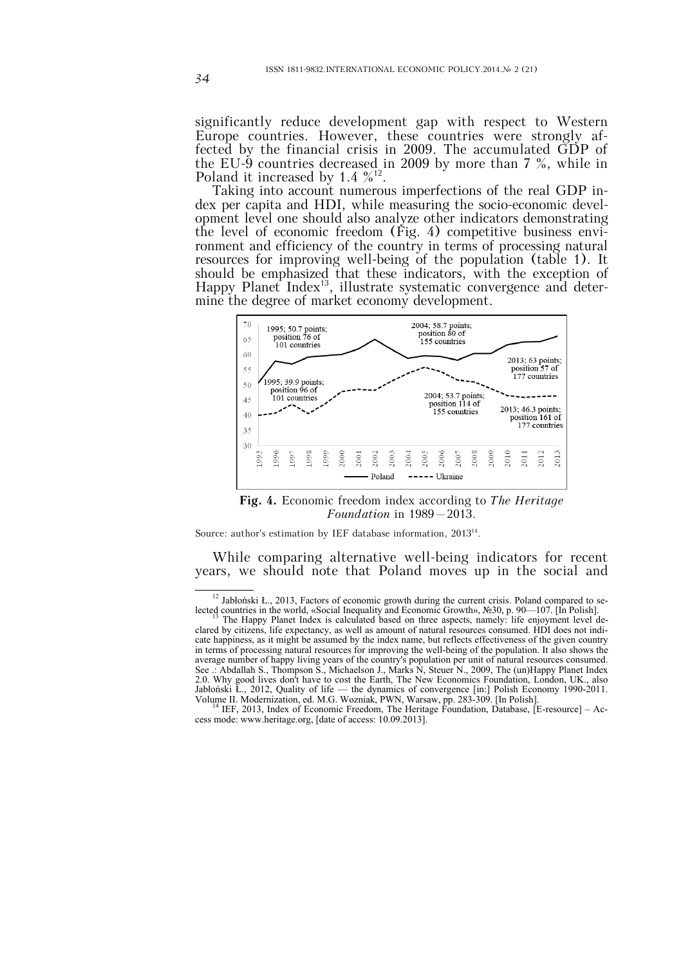significantly reduce development gap with respect to Western Europe countries. However, these countries were strongly affected by the financial crisis in 2009. The accumulated GDP of the EU- $\check{9}$  countries decreased in 2009 by more than 7 %, while in Poland it increased by 1.4  $\frac{\%^{12}}{\%}$ .

Taking into account numerous imperfections of the real GDP index per capita and HDI, while measuring the socio-economic development level one should also analyze other indicators demonstrating the level of economic freedom  $(Fig, 4)$  competitive business environment and efficiency of the country in terms of processing natural resources for improving well-being of the population (table 1). It should be emphasized that these indicators, with the exception of Happy Planet Index<sup>13</sup>, illustrate systematic convergence and determine the degree of market economy development.



**Fig. 4.** Economic freedom index according to *The Heritage Foundation* in 1989–2013.

Source: author's estimation by IEF database information, 201314.

While comparing alternative well-being indicators for recent years, we should note that Poland moves up in the social and

<sup>&</sup>lt;sup>12</sup> Jabłoński Ł., 2013, Factors of economic growth during the current crisis. Poland compared to se-

lected countries in the world, «Social Inequality and Economic Growth», №30, p. 90—107. [In Polish]. 13 The Happy Planet Index is calculated based on three aspects, namely: life enjoyment level declared by citizens, life expectancy, as well as amount of natural resources consumed. HDI does not indicate happiness, as it might be assumed by the index name, but reflects effectiveness of the given country in terms of processing natural resources for improving the well-being of the population. It also shows the average number of happy living years of the country's population per unit of natural resources consumed. See .: Abdallah S., Thompson S., Michaelson J., Marks N, Steuer N., 2009, The (un)Happy Planet Index 2.0. Why good lives don't have to cost the Earth, The New Economics Foundation, London, UK., also Jabłoński Ł., 2012, Quality of life — the dynamics of convergence [in:] Polish Economy 1990-2011.

Volume II. Modernization, ed. M.G. Wozniak, PWN, Warsaw, pp. 283-309. [In Polish].<br><sup>14</sup> IEF, 2013, Index of Economic Freedom, The Heritage Foundation, Database, [E-resource] – Access mode: www.heritage.org, [date of access: 10.09.2013].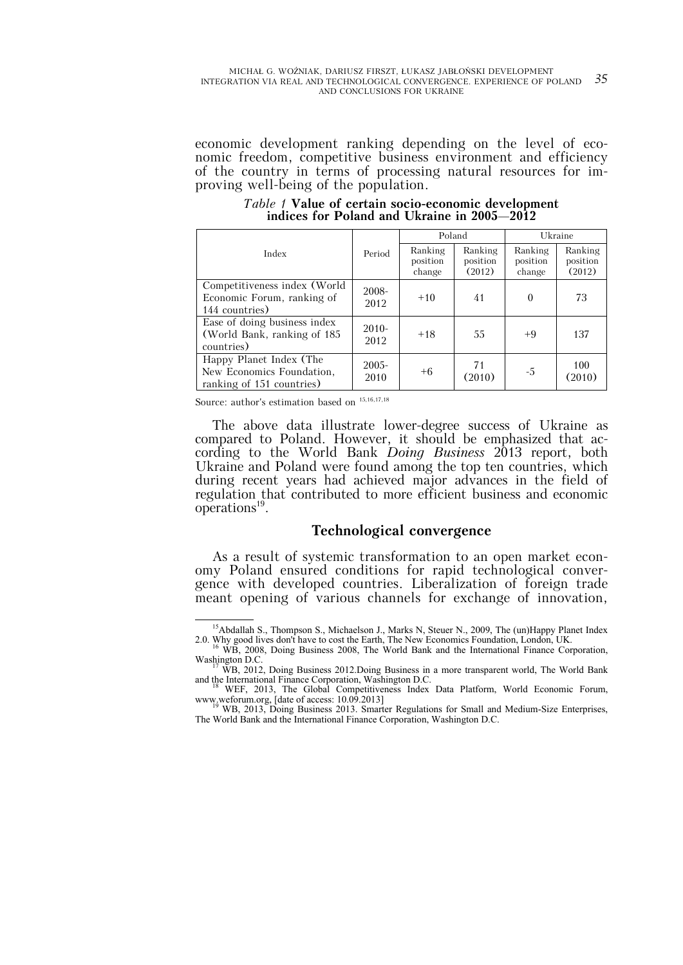economic development ranking depending on the level of economic freedom, competitive business environment and efficiency of the country in terms of processing natural resources for improving well-being of the population.

Poland Ukraine Index Period Ranking position change Ranking position (2012) Ranking position change Ranking position (2012) Competitiveness index (World Economic Forum, ranking of 144 countries) 2008-  $2012$  +10 41 0 73 Ease of doing business index (World Bank, ranking of 185 countries) 2010-  $2012$  +18  $55$  +9 137 Happy Planet Index (The New Economics Foundation, ranking of 151 countries) 2005-  $\begin{array}{c|c} 2005 \\ 2010 \end{array}$  +6  $\begin{array}{|c} 71 \\ (201) \end{array}$  $\begin{array}{c|c} 71 & -5 & 100 \\ (2010) & -5 & (2010) \end{array}$ (2010)

*Table 1* **Value of certain socio-economic development indices for Poland and Ukraine in 2005–2012**

Source: author's estimation based on  $^{\rm 15,16,17,18}$ 

The above data illustrate lower-degree success of Ukraine as compared to Poland. However, it should be emphasized that according to the World Bank *Doing Business* 2013 report, both Ukraine and Poland were found among the top ten countries, which during recent years had achieved major advances in the field of regulation that contributed to more efficient business and economic operations<sup>19</sup>.

### **Technological convergence**

As a result of systemic transformation to an open market economy Poland ensured conditions for rapid technological convergence with developed countries. Liberalization of foreign trade meant opening of various channels for exchange of innovation,

<sup>&</sup>lt;sup>15</sup>Abdallah S., Thompson S., Michaelson J., Marks N, Steuer N., 2009, The (un)Happy Planet Index 2.0. Why good lives don't have to cost the Earth, The New Economics Foundation, London, UK.<br><sup>16</sup> WB, 2008, Doing Business 2008, The World Bank and the International Finance Corporation,

Washington D.C.<br>
<sup>17</sup> WB, 2012, Doing Business 2012.Doing Business in a more transparent world, The World Bank<br>
and the International Finance Corporation, Washington D.C.

WEF, 2013, The Global Competitiveness Index Data Platform, World Economic Forum, www.weforum.org, [date of access: 10.09.2013]<br><sup>19</sup> WB, 2013, Doing Business 2013. Smarter Regulations for Small and Medium-Size Enterprises,

The World Bank and the International Finance Corporation, Washington D.C.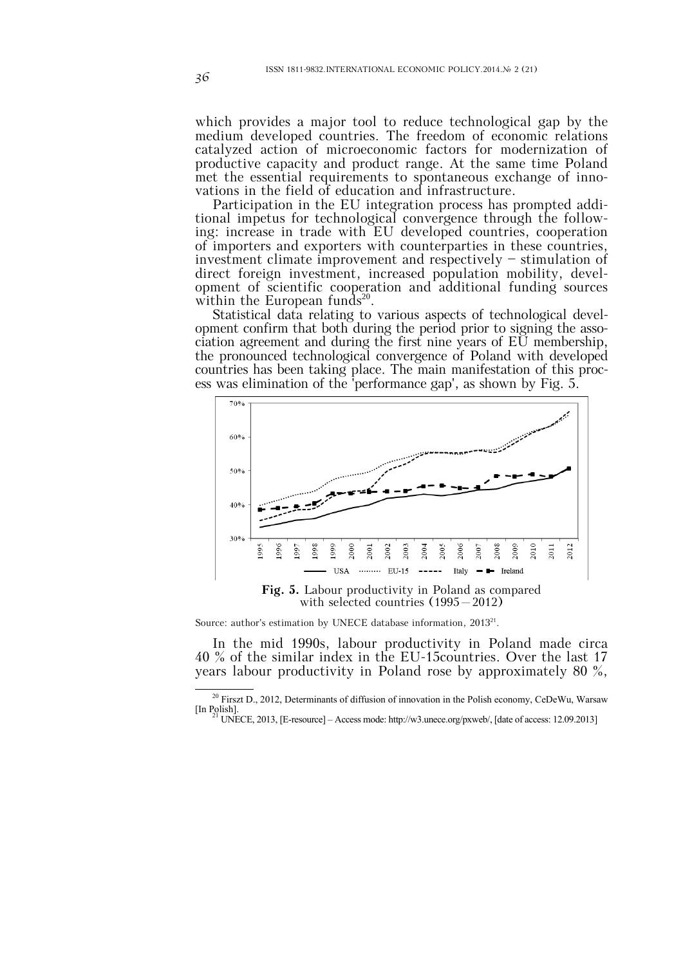which provides a major tool to reduce technological gap by the medium developed countries. The freedom of economic relations catalyzed action of microeconomic factors for modernization of productive capacity and product range. At the same time Poland met the essential requirements to spontaneous exchange of innovations in the field of education and infrastructure.

Participation in the EU integration process has prompted additional impetus for technological convergence through the following: increase in trade with EU developed countries, cooperation of importers and exporters with counterparties in these countries, investment climate improvement and respectively — stimulation of direct foreign investment, increased population mobility, development of scientific cooperation and additional funding sources within the European funds<sup>20</sup>.

Statistical data relating to various aspects of technological development confirm that both during the period prior to signing the association agreement and during the first nine years of EU membership, the pronounced technological convergence of Poland with developed countries has been taking place. The main manifestation of this process was elimination of the 'performance gap', as shown by Fig. 5.



Source: author's estimation by UNECE database information, 2013<sup>21</sup>.

In the mid 1990s, labour productivity in Poland made circa 40 % of the similar index in the EU-15countries. Over the last 17 years labour productivity in Poland rose by approximately 80 %,

<sup>&</sup>lt;sup>20</sup> Firszt D., 2012, Determinants of diffusion of innovation in the Polish economy, CeDeWu, Warsaw [In Polish]. <sup>21</sup> UNECE, 2013, [E-resource] – Access mode: http://w3.unece.org/pxweb/, [date of access: 12.09.2013]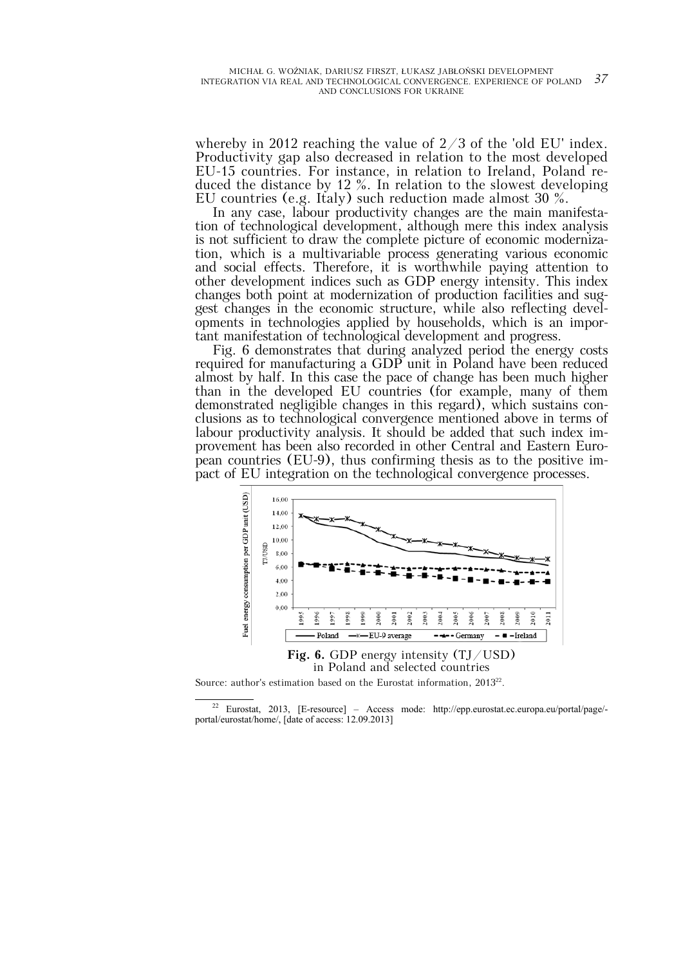whereby in 2012 reaching the value of  $2/3$  of the 'old EU' index. Productivity gap also decreased in relation to the most developed EU-15 countries. For instance, in relation to Ireland, Poland reduced the distance by 12 %. In relation to the slowest developing EU countries (e.g. Italy) such reduction made almost 30 %.

In any case, labour productivity changes are the main manifestation of technological development, although mere this index analysis is not sufficient to draw the complete picture of economic modernization, which is a multivariable process generating various economic and social effects. Therefore, it is worthwhile paying attention to other development indices such as GDP energy intensity. This index changes both point at modernization of production facilities and suggest changes in the economic structure, while also reflecting developments in technologies applied by households, which is an important manifestation of technological development and progress.

Fig. 6 demonstrates that during analyzed period the energy costs required for manufacturing a GDP unit in Poland have been reduced almost by half. In this case the pace of change has been much higher than in the developed EU countries (for example, many of them demonstrated negligible changes in this regard), which sustains conclusions as to technological convergence mentioned above in terms of labour productivity analysis. It should be added that such index improvement has been also recorded in other Central and Eastern European countries (EU-9), thus confirming thesis as to the positive impact of EU integration on the technological convergence processes.



Source: author's estimation based on the Eurostat information, 2013<sup>22</sup>.

 22 Eurostat, 2013, [E-resource] – Access mode: http://epp.eurostat.ec.europa.eu/portal/page/ portal/eurostat/home/, [date of access: 12.09.2013]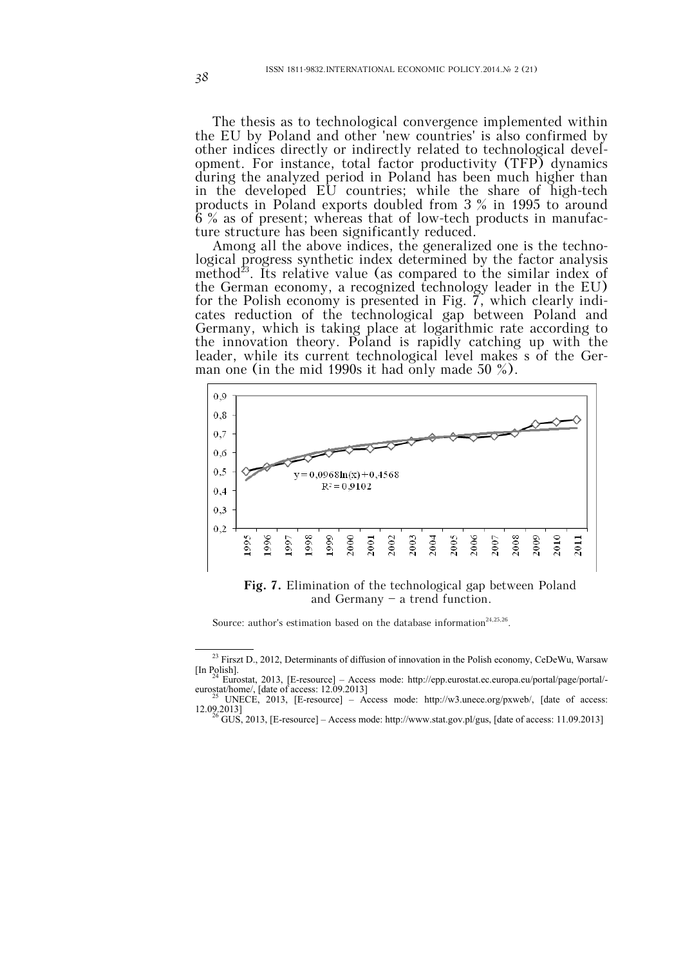The thesis as to technological convergence implemented within the EU by Poland and other 'new countries' is also confirmed by other indices directly or indirectly related to technological development. For instance, total factor productivity (TFP) dynamics during the analyzed period in Poland has been much higher than in the developed EU countries; while the share of high-tech products in Poland exports doubled from 3 % in 1995 to around 6 % as of present; whereas that of low-tech products in manufacture structure has been significantly reduced.

Among all the above indices, the generalized one is the technological progress synthetic index determined by the factor analysis method<sup>23</sup>. Its relative value (as compared to the similar index of the German economy, a recognized technology leader in the EU) for the Polish economy is presented in Fig.  $\overline{7}$ , which clearly indicates reduction of the technological gap between Poland and Germany, which is taking place at logarithmic rate according to the innovation theory. Poland is rapidly catching up with the leader, while its current technological level makes s of the German one (in the mid 1990s it had only made 50 %).



**Fig. 7.** Elimination of the technological gap between Poland and Germany — a trend function.

Source: author's estimation based on the database information<sup>24,25,26</sup>.

<sup>&</sup>lt;sup>23</sup> Firszt D., 2012, Determinants of diffusion of innovation in the Polish economy, CeDeWu, Warsaw [In Polish]. 24 Eurostat, 2013, [E-resource] – Access mode: http://epp.eurostat.ec.europa.eu/portal/page/portal/-

eurostat/home/, [date of access: 12.09.2013]<br><sup>25</sup> UNECE, 2013, [E-resource] – Access mode: http://w3.unece.org/pxweb/, [date of access:

<sup>12.09.2013]&</sup>lt;br><sup>26</sup> GUS, 2013, [E-resource] – Access mode: http://www.stat.gov.pl/gus, [date of access: 11.09.2013]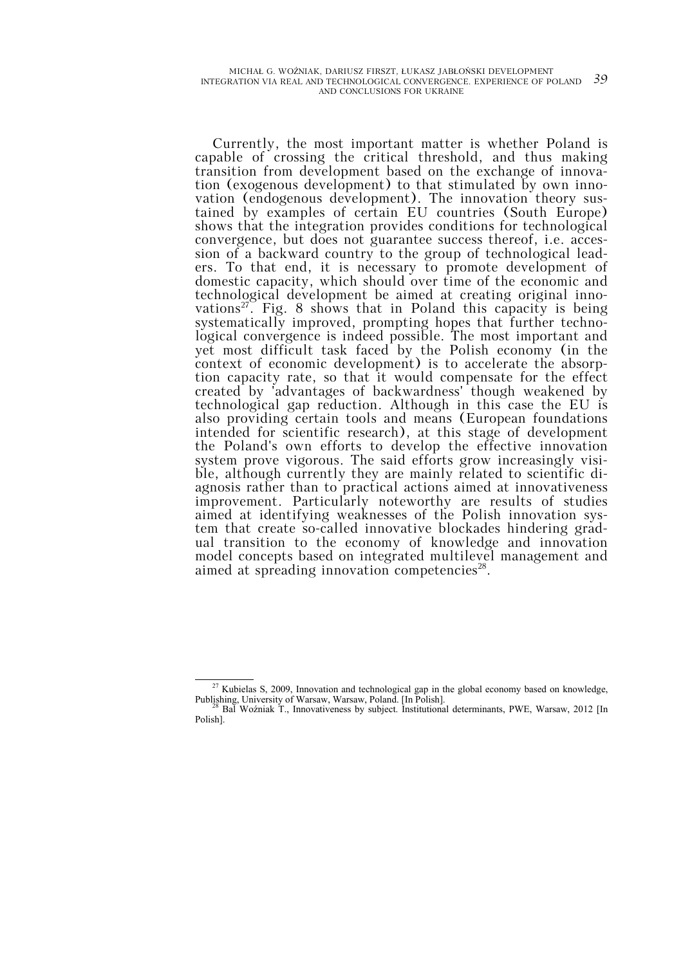Currently, the most important matter is whether Poland is capable of crossing the critical threshold, and thus making transition from development based on the exchange of innovation (exogenous development) to that stimulated by own innovation (endogenous development). The innovation theory sustained by examples of certain EU countries (South Europe) shows that the integration provides conditions for technological convergence, but does not guarantee success thereof, i.e. accession of a backward country to the group of technological leaders. To that end, it is necessary to promote development of domestic capacity, which should over time of the economic and technological development be aimed at creating original innovations<sup>27</sup>. Fig. 8 shows that in Poland this capacity is being systematically improved, prompting hopes that further technological convergence is indeed possible. The most important and yet most difficult task faced by the Polish economy (in the context of economic development) is to accelerate the absorption capacity rate, so that it would compensate for the effect created by 'advantages of backwardness' though weakened by technological gap reduction. Although in this case the EU is also providing certain tools and means (European foundations intended for scientific research), at this stage of development the Poland's own efforts to develop the effective innovation system prove vigorous. The said efforts grow increasingly visible, although currently they are mainly related to scientific diagnosis rather than to practical actions aimed at innovativeness improvement. Particularly noteworthy are results of studies aimed at identifying weaknesses of the Polish innovation system that create so-called innovative blockades hindering gradual transition to the economy of knowledge and innovation model concepts based on integrated multilevel management and aimed at spreading innovation competencies<sup>28</sup>.

<sup>&</sup>lt;sup>27</sup> Kubielas S, 2009, Innovation and technological gap in the global economy based on knowledge, Publishing, University of Warsaw, Warsaw, Poland. [In Polish]. 28 Bal Woźniak T., Innovativeness by subject. Institutional determinants, PWE, Warsaw, 2012 [In

Polish].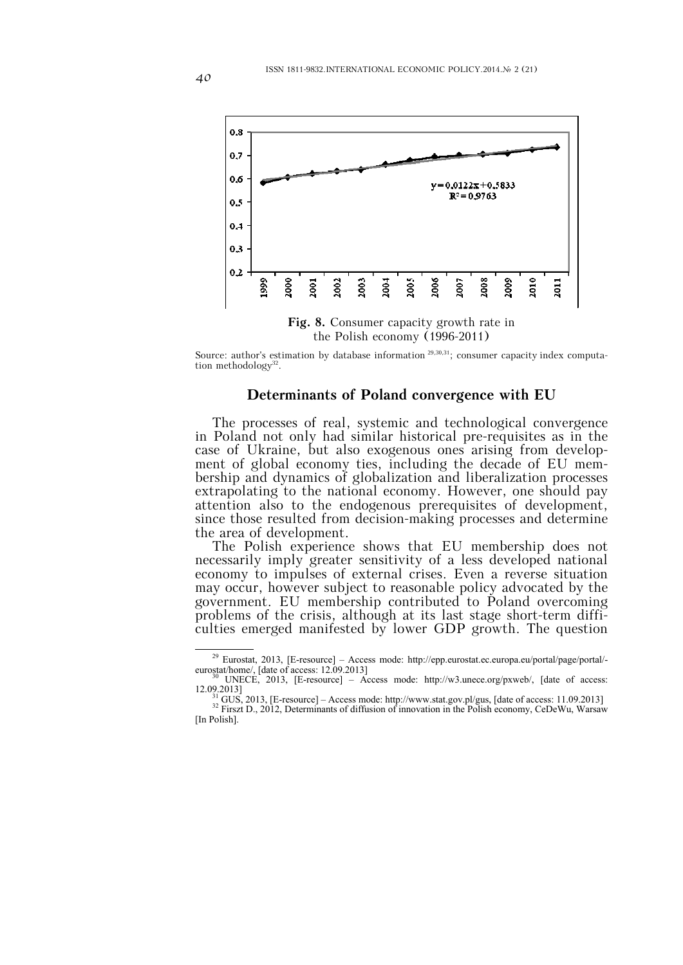

Source: author's estimation by database information  $29,30,31$ ; consumer capacity index computation methodology $32$ .

# **Determinants of Poland convergence with EU**

The processes of real, systemic and technological convergence in Poland not only had similar historical pre-requisites as in the case of Ukraine, but also exogenous ones arising from development of global economy ties, including the decade of EU membership and dynamics of globalization and liberalization processes extrapolating to the national economy. However, one should pay attention also to the endogenous prerequisites of development, since those resulted from decision-making processes and determine the area of development.

The Polish experience shows that EU membership does not necessarily imply greater sensitivity of a less developed national economy to impulses of external crises. Even a reverse situation may occur, however subject to reasonable policy advocated by the government. EU membership contributed to Poland overcoming problems of the crisis, although at its last stage short-term difficulties emerged manifested by lower GDP growth. The question

<sup>&</sup>lt;sup>29</sup> Eurostat, 2013, [E-resource] – Access mode: http://epp.eurostat.ec.europa.eu/portal/page/portal/eurostat/home/, [date of access: 12.09.2013]<br><sup>30</sup> UNECE, 2013, [E-resource] – Access mode: http://w3.unece.org/pxweb/, [date of access:

<sup>&</sup>lt;sup>30</sup> UNECE, 2013, [E-resource] – Access mode: http://w3.unece.org/pxweb/, [date of access: 12.09.2013]<br>12.09.2013]<br><sup>31</sup> GUS, 2013, [E-resource] – Access mode: http://www.stat.gov.pl/gus, [date of access: 11.09.2013]<br><sup>32</sup>

<sup>[</sup>In Polish].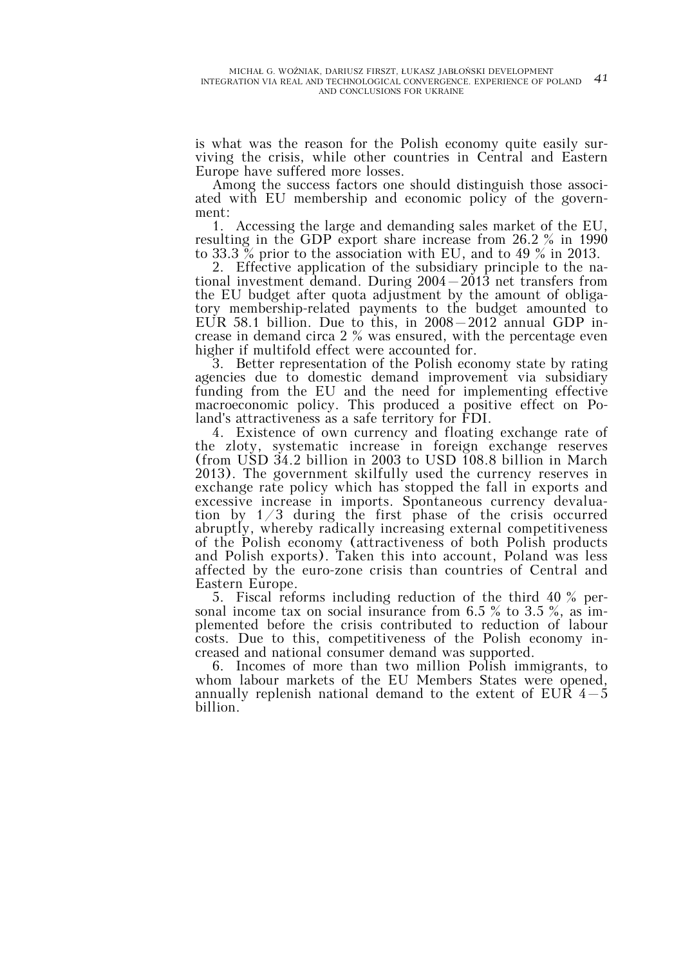is what was the reason for the Polish economy quite easily surviving the crisis, while other countries in Central and Eastern Europe have suffered more losses.

Among the success factors one should distinguish those associated with EU membership and economic policy of the government:

1. Accessing the large and demanding sales market of the EU, resulting in the GDP export share increase from 26.2 % in 1990 to 33.3 % prior to the association with EU, and to 49 % in 2013.

2. Effective application of the subsidiary principle to the national investment demand. During  $2004-2013$  net transfers from the EU budget after quota adjustment by the amount of obligatory membership-related payments to the budget amounted to EUR 58.1 billion. Due to this, in 2008–2012 annual GDP increase in demand circa 2 % was ensured, with the percentage even higher if multifold effect were accounted for.

3. Better representation of the Polish economy state by rating agencies due to domestic demand improvement via subsidiary funding from the EU and the need for implementing effective macroeconomic policy. This produced a positive effect on Poland's attractiveness as a safe territory for FDI.

4. Existence of own currency and floating exchange rate of the zloty, systematic increase in foreign exchange reserves (from USD 34.2 billion in 2003 to USD 108.8 billion in March 2013). The government skilfully used the currency reserves in exchange rate policy which has stopped the fall in exports and excessive increase in imports. Spontaneous currency devaluation by 1/3 during the first phase of the crisis occurred abruptly, whereby radically increasing external competitiveness of the Polish economy (attractiveness of both Polish products and Polish exports). Taken this into account, Poland was less affected by the euro-zone crisis than countries of Central and Eastern Europe.

5. Fiscal reforms including reduction of the third 40 % personal income tax on social insurance from 6.5 % to 3.5 %, as implemented before the crisis contributed to reduction of labour costs. Due to this, competitiveness of the Polish economy increased and national consumer demand was supported.

6. Incomes of more than two million Polish immigrants, to whom labour markets of the EU Members States were opened, annually replenish national demand to the extent of EUR  $4-5$ billion.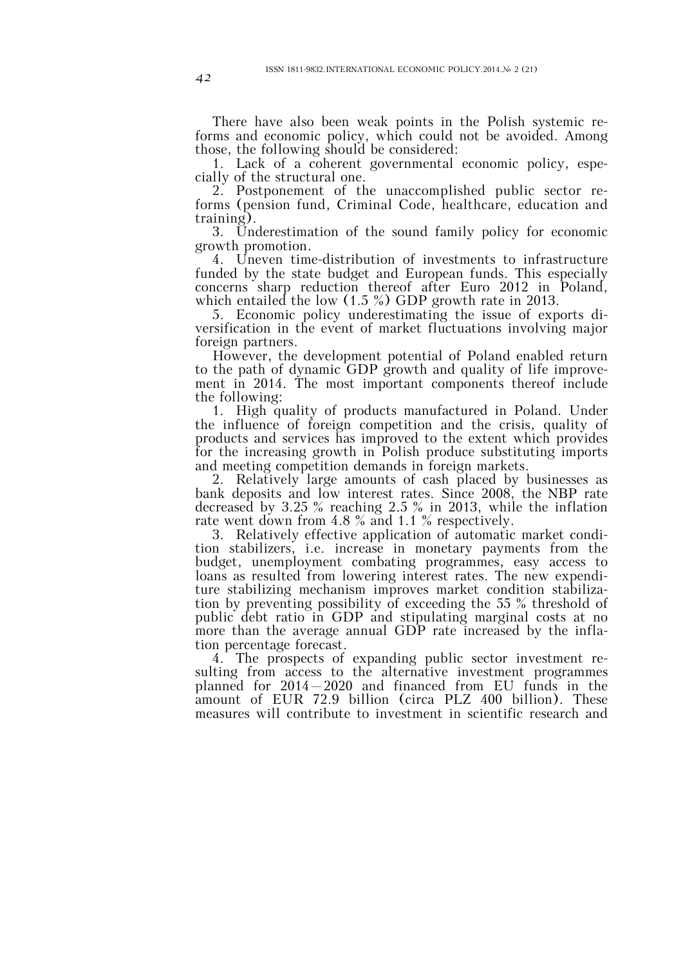There have also been weak points in the Polish systemic reforms and economic policy, which could not be avoided. Among those, the following should be considered:

1. Lack of a coherent governmental economic policy, especially of the structural one.

2. Postponement of the unaccomplished public sector reforms (pension fund, Criminal Code, healthcare, education and training).

3. Underestimation of the sound family policy for economic growth promotion.

4. Uneven time-distribution of investments to infrastructure funded by the state budget and European funds. This especially concerns sharp reduction thereof after Euro 2012 in Poland, which entailed the low (1.5 %) GDP growth rate in 2013.

5. Economic policy underestimating the issue of exports diversification in the event of market fluctuations involving major foreign partners.

However, the development potential of Poland enabled return to the path of dynamic GDP growth and quality of life improvement in 2014. The most important components thereof include the following:

1. High quality of products manufactured in Poland. Under the influence of foreign competition and the crisis, quality of products and services has improved to the extent which provides for the increasing growth in Polish produce substituting imports and meeting competition demands in foreign markets.

2. Relatively large amounts of cash placed by businesses as bank deposits and low interest rates. Since 2008, the NBP rate decreased by 3.25 % reaching 2.5 % in 2013, while the inflation rate went down from 4.8 % and 1.1 % respectively.

3. Relatively effective application of automatic market condition stabilizers, i.e. increase in monetary payments from the budget, unemployment combating programmes, easy access to loans as resulted from lowering interest rates. The new expenditure stabilizing mechanism improves market condition stabilization by preventing possibility of exceeding the 55 % threshold of public debt ratio in GDP and stipulating marginal costs at no more than the average annual GDP rate increased by the inflation percentage forecast.

4. The prospects of expanding public sector investment resulting from access to the alternative investment programmes planned for 2014–2020 and financed from EU funds in the amount of EUR 72.9 billion (circa PLZ 400 billion). These measures will contribute to investment in scientific research and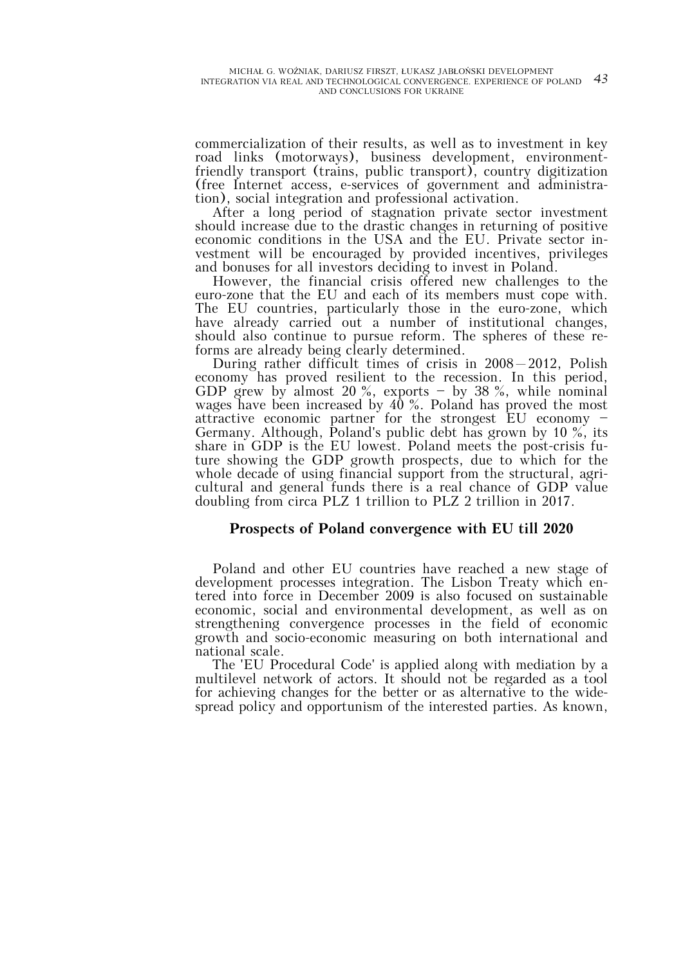commercialization of their results, as well as to investment in key road links (motorways), business development, environmentfriendly transport (trains, public transport), country digitization (free Internet access, e-services of government and administration), social integration and professional activation.

After a long period of stagnation private sector investment should increase due to the drastic changes in returning of positive economic conditions in the USA and the EU. Private sector investment will be encouraged by provided incentives, privileges and bonuses for all investors deciding to invest in Poland.

However, the financial crisis offered new challenges to the euro-zone that the EU and each of its members must cope with. The EU countries, particularly those in the euro-zone, which have already carried out a number of institutional changes, should also continue to pursue reform. The spheres of these reforms are already being clearly determined.

During rather difficult times of crisis in 2008–2012, Polish economy has proved resilient to the recession. In this period, GDP grew by almost 20  $\%$ , exports - by 38  $\%$ , while nominal wages have been increased by 40 %. Poland has proved the most attractive economic partner for the strongest EU economy — Germany. Although, Poland's public debt has grown by 10 %, its share in GDP is the EU lowest. Poland meets the post-crisis future showing the GDP growth prospects, due to which for the whole decade of using financial support from the structural, agricultural and general funds there is a real chance of GDP value doubling from circa PLZ 1 trillion to PLZ 2 trillion in 2017.

# **Prospects of Poland convergence with EU till 2020**

Poland and other EU countries have reached a new stage of development processes integration. The Lisbon Treaty which entered into force in December 2009 is also focused on sustainable economic, social and environmental development, as well as on strengthening convergence processes in the field of economic growth and socio-economic measuring on both international and national scale.

The 'EU Procedural Code' is applied along with mediation by a multilevel network of actors. It should not be regarded as a tool for achieving changes for the better or as alternative to the widespread policy and opportunism of the interested parties. As known,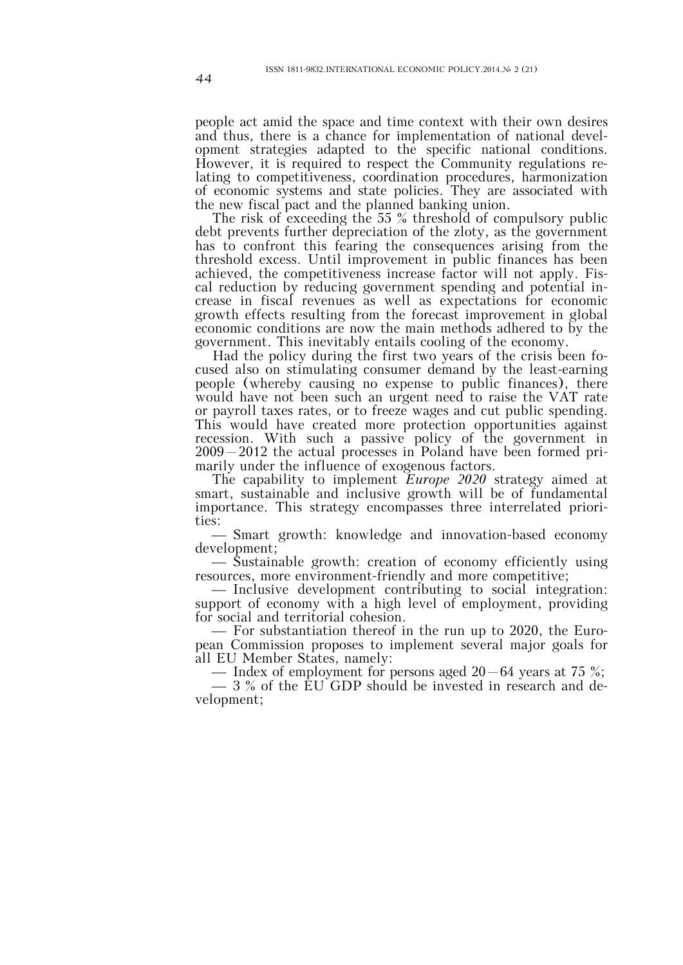people act amid the space and time context with their own desires and thus, there is a chance for implementation of national development strategies adapted to the specific national conditions. However, it is required to respect the Community regulations relating to competitiveness, coordination procedures, harmonization of economic systems and state policies. They are associated with the new fiscal pact and the planned banking union.

The risk of exceeding the 55 % threshold of compulsory public debt prevents further depreciation of the zloty, as the government has to confront this fearing the consequences arising from the threshold excess. Until improvement in public finances has been achieved, the competitiveness increase factor will not apply. Fiscal reduction by reducing government spending and potential increase in fiscal revenues as well as expectations for economic growth effects resulting from the forecast improvement in global economic conditions are now the main methods adhered to by the government. This inevitably entails cooling of the economy.

Had the policy during the first two years of the crisis been focused also on stimulating consumer demand by the least-earning people (whereby causing no expense to public finances), there would have not been such an urgent need to raise the VAT rate or payroll taxes rates, or to freeze wages and cut public spending. This would have created more protection opportunities against recession. With such a passive policy of the government in 2009–2012 the actual processes in Poland have been formed primarily under the influence of exogenous factors.

The capability to implement *Europe 2020* strategy aimed at smart, sustainable and inclusive growth will be of fundamental importance. This strategy encompasses three interrelated priorities:

⎯ Smart growth: knowledge and innovation-based economy development;

⎯ Sustainable growth: creation of economy efficiently using

resources, more environment-friendly and more competitive;<br>— Inclusive development contributing to social integration: support of economy with a high level of employment, providing

for social and territorial cohesion.<br>  $\frac{1}{100}$  For substantiation thereof in the run up to 2020, the European Commission proposes to implement several major goals for all EU Member States, namely:<br>
— Index of employment for persons aged  $20-64$  years at 75 %;

⎯ 3 % of the EU GDP should be invested in research and development;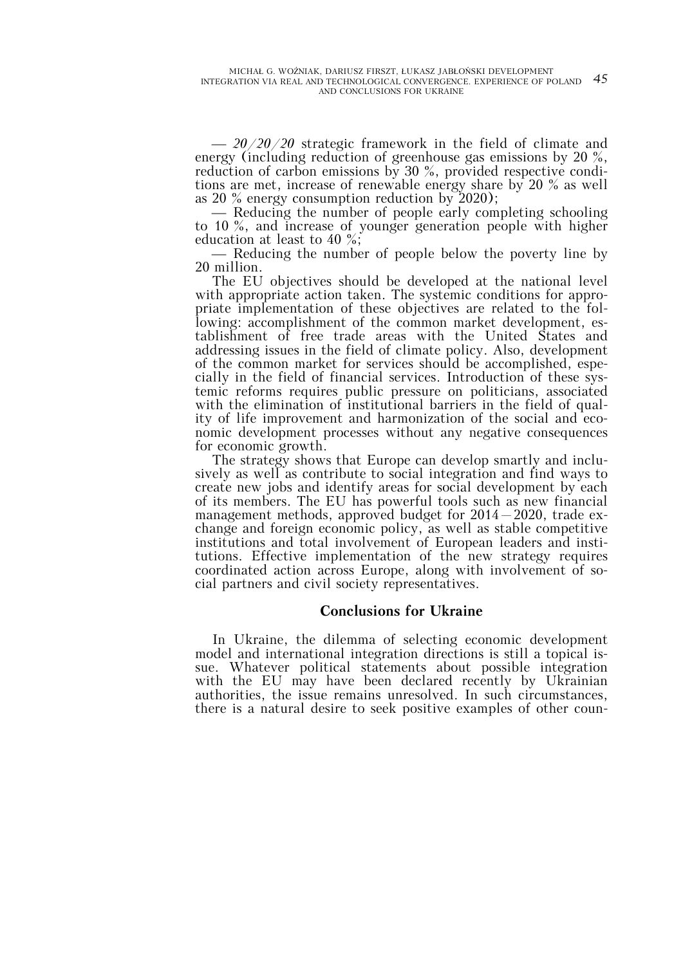⎯ *20/20/20* strategic framework in the field of climate and energy (including reduction of greenhouse gas emissions by 20 %, reduction of carbon emissions by 30 %, provided respective conditions are met, increase of renewable energy share by 20 % as well as 20 % energy consumption reduction by 2020);

⎯ Reducing the number of people early completing schooling to 10 %, and increase of younger generation people with higher education at least to 40 %;

⎯ Reducing the number of people below the poverty line by 20 million.

The EU objectives should be developed at the national level with appropriate action taken. The systemic conditions for appropriate implementation of these objectives are related to the following: accomplishment of the common market development, establishment of free trade areas with the United States and addressing issues in the field of climate policy. Also, development of the common market for services should be accomplished, especially in the field of financial services. Introduction of these systemic reforms requires public pressure on politicians, associated with the elimination of institutional barriers in the field of quality of life improvement and harmonization of the social and economic development processes without any negative consequences for economic growth.

The strategy shows that Europe can develop smartly and inclusively as well as contribute to social integration and find ways to create new jobs and identify areas for social development by each of its members. The EU has powerful tools such as new financial management methods, approved budget for 2014–2020, trade exchange and foreign economic policy, as well as stable competitive institutions and total involvement of European leaders and institutions. Effective implementation of the new strategy requires coordinated action across Europe, along with involvement of social partners and civil society representatives.

## **Conclusions for Ukraine**

In Ukraine, the dilemma of selecting economic development model and international integration directions is still a topical issue. Whatever political statements about possible integration with the EU may have been declared recently by Ukrainian authorities, the issue remains unresolved. In such circumstances, there is a natural desire to seek positive examples of other coun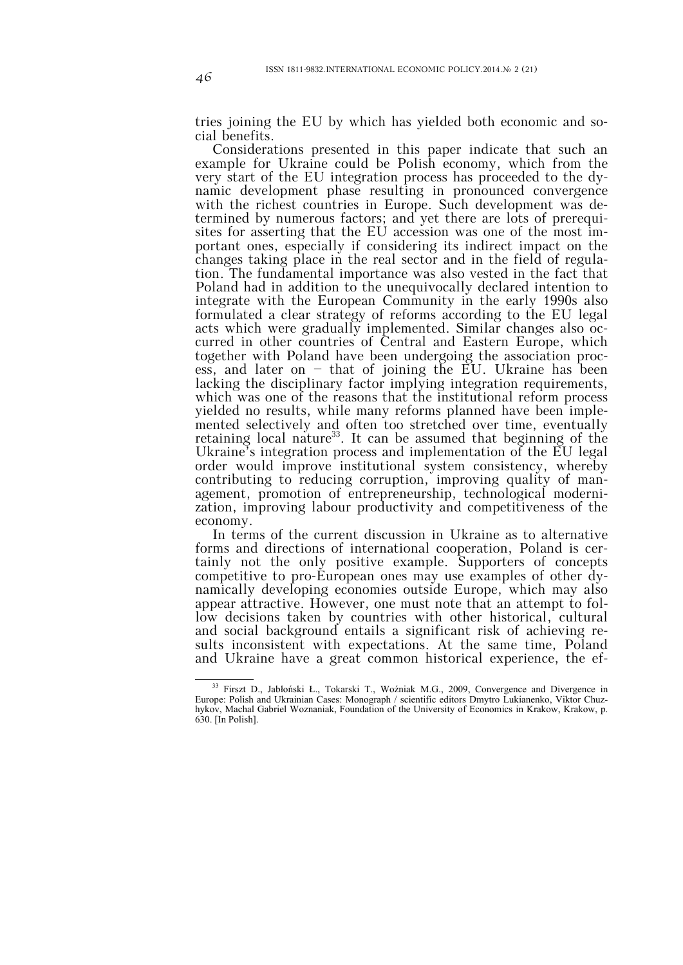tries joining the EU by which has yielded both economic and social benefits.

Considerations presented in this paper indicate that such an example for Ukraine could be Polish economy, which from the very start of the EU integration process has proceeded to the dynamic development phase resulting in pronounced convergence with the richest countries in Europe. Such development was determined by numerous factors; and yet there are lots of prerequisites for asserting that the EU accession was one of the most important ones, especially if considering its indirect impact on the changes taking place in the real sector and in the field of regulation. The fundamental importance was also vested in the fact that Poland had in addition to the unequivocally declared intention to integrate with the European Community in the early 1990s also formulated a clear strategy of reforms according to the EU legal acts which were gradually implemented. Similar changes also occurred in other countries of Central and Eastern Europe, which together with Poland have been undergoing the association process, and later on  $-$  that of joining the EU. Ukraine has been lacking the disciplinary factor implying integration requirements, which was one of the reasons that the institutional reform process yielded no results, while many reforms planned have been implemented selectively and often too stretched over time, eventually retaining local nature<sup>33</sup>. It can be assumed that beginning of the Ukraine's integration process and implementation of the EU legal order would improve institutional system consistency, whereby contributing to reducing corruption, improving quality of management, promotion of entrepreneurship, technological modernization, improving labour productivity and competitiveness of the economy.

In terms of the current discussion in Ukraine as to alternative forms and directions of international cooperation, Poland is certainly not the only positive example. Supporters of concepts competitive to pro-European ones may use examples of other dynamically developing economies outside Europe, which may also appear attractive. However, one must note that an attempt to follow decisions taken by countries with other historical, cultural and social background entails a significant risk of achieving results inconsistent with expectations. At the same time, Poland and Ukraine have a great common historical experience, the ef-

 <sup>33</sup> Firszt D., Jabłoński Ł., Tokarski T., Woźniak M.G., 2009, Convergence and Divergence in Europe: Polish and Ukrainian Cases: Monograph / scientific editors Dmytro Lukianenko, Viktor Chuzhykov, Machal Gabriel Woznaniak, Foundation of the University of Economics in Krakow, Krakow, p. 630. [In Polish].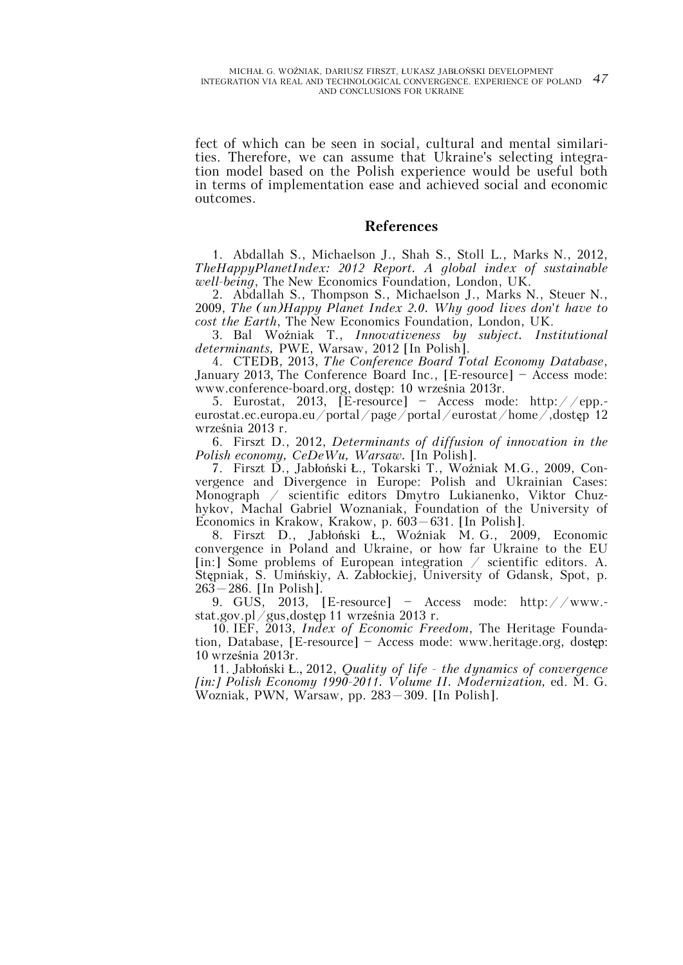fect of which can be seen in social, cultural and mental similarities. Therefore, we can assume that Ukraine's selecting integration model based on the Polish experience would be useful both in terms of implementation ease and achieved social and economic outcomes.

# **References**

1. Abdallah S., Michaelson J., Shah S., Stoll L., Marks N., 2012, *TheHappyPlanetIndex: 2012 Report. A global index of sustainable well-being*, The New Economics Foundation, London, UK.

2. Abdallah S., Thompson S., Michaelson J., Marks N., Steuer N., 2009, *The (un)Happy Planet Index 2.0. Why good lives don't have to cost the Earth*, The New Economics Foundation, London, UK.

3. Bal Woźniak T., *Innovativeness by subject. Institutional determinants,* PWE, Warsaw, 2012 [In Polish].

4. CTEDB, 2013, *The Conference Board Total Economy Database*, January 2013, The Conference Board Inc., [E-resource] — Access mode: www.conference-board.org, dostęp: 10 września 2013r.

5. Eurostat, 2013, [E-resource] — Access mode: http://epp. eurostat.ec.europa.eu/portal/page/portal/eurostat/home/,dostęp 12 września 2013 r.

6. Firszt D., 2012, *Determinants of diffusion of innovation in the Polish economy, CeDeWu, Warsaw.* [In Polish].

7. Firszt D., Jabłoński Ł., Tokarski T., Woźniak M.G., 2009, Convergence and Divergence in Europe: Polish and Ukrainian Cases: Monograph / scientific editors Dmytro Lukianenko, Viktor Chuzhykov, Machal Gabriel Woznaniak, Foundation of the University of Economics in Krakow, Krakow, p. 603–631. [In Polish].

8. Firszt D., Jabłoński Ł., Woźniak M. G., 2009, Economic convergence in Poland and Ukraine, or how far Ukraine to the EU [in:] Some problems of European integration / scientific editors. A. Stępniak, S. Umińskiy, A. Zabłockiej, University of Gdansk, Spot, p. 263–286. [In Polish].

9. GUS, 2013, [E-resource] — Access mode: http://www. stat.gov.pl/gus,dostęp 11 września 2013 r.

10. IEF, 2013, *Index of Economic Freedom*, The Heritage Foundation, Database, [E-resource] — Access mode: www.heritage.org, dostęp: 10 września 2013r.

11. Jabłoński Ł., 2012, *Quality of life - the dynamics of convergence [in:] Polish Economy 1990-2011. Volume II. Modernization,* ed. M. G. Wozniak, PWN, Warsaw, pp. 283–309. [In Polish].